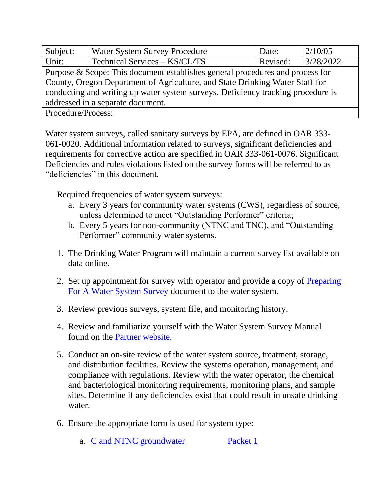| Subject:                                                                         | <b>Water System Survey Procedure</b> | Date:    | 2/10/05   |
|----------------------------------------------------------------------------------|--------------------------------------|----------|-----------|
| Unit:                                                                            | Technical Services - KS/CL/TS        | Revised: | 3/28/2022 |
| Purpose & Scope: This document establishes general procedures and process for    |                                      |          |           |
| County, Oregon Department of Agriculture, and State Drinking Water Staff for     |                                      |          |           |
| conducting and writing up water system surveys. Deficiency tracking procedure is |                                      |          |           |
| addressed in a separate document.                                                |                                      |          |           |
| Procedure/Process:                                                               |                                      |          |           |

Water system surveys, called sanitary surveys by EPA, are defined in OAR 333- 061-0020. Additional information related to surveys, significant deficiencies and requirements for corrective action are specified in OAR 333-061-0076. Significant Deficiencies and rules violations listed on the survey forms will be referred to as "deficiencies" in this document.

Required frequencies of water system surveys:

- a. Every 3 years for community water systems (CWS), regardless of source, unless determined to meet "Outstanding Performer" criteria;
- b. Every 5 years for non-community (NTNC and TNC), and "Outstanding Performer" community water systems.
- 1. The Drinking Water Program will maintain a current survey list available on data online.
- 2. Set up appointment for survey with operator and provide a copy of Preparing [For A Water System Survey](https://partners.health.oregon.gov/HealthyEnvironments/DrinkingWater/Operations/Documents/operators-wss.pdf) document to the water system.
- 3. Review previous surveys, system file, and monitoring history.
- 4. Review and familiarize yourself with the Water System Survey Manual found on the [Partner website.](https://partners.health.oregon.gov/Partners/DrinkingWater/Pages/surveys.aspx)
- 5. Conduct an on-site review of the water system source, treatment, storage, and distribution facilities. Review the systems operation, management, and compliance with regulations. Review with the water operator, the chemical and bacteriological monitoring requirements, monitoring plans, and sample sites. Determine if any deficiencies exist that could result in unsafe drinking water.
- 6. Ensure the appropriate form is used for system type:
	- a. [C and NTNC groundwater](https://partners.health.oregon.gov/Partners/DrinkingWater/Documents/wss/survey-C-NTNC-GW.doc) [Packet 1](https://partners.health.oregon.gov/Partners/DrinkingWater/Documents/wss/survey-C-NTNC-GW.doc)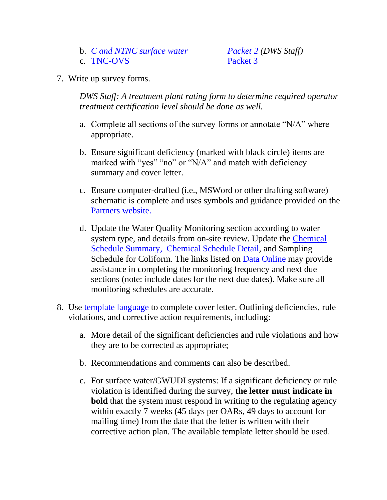- b. *[C and NTNC surface water](https://partners.health.oregon.gov/Partners/DrinkingWater/Documents/wss/survey-C-NTNC-SW.doc) [Packet 2](https://partners.health.oregon.gov/Partners/DrinkingWater/Documents/wss/survey-C-NTNC-SW.doc) (DWS Staff)*
- c. [TNC-OVS](https://partners.health.oregon.gov/Partners/DrinkingWater/Documents/wss/survey-TNC-NP.doc) [Packet 3](https://partners.health.oregon.gov/Partners/DrinkingWater/Documents/wss/survey-TNC-NP.doc)

7. Write up survey forms.

*DWS Staff: A treatment plant rating form to determine required operator treatment certification level should be done as well.* 

- a. Complete all sections of the survey forms or annotate "N/A" where appropriate.
- b. Ensure significant deficiency (marked with black circle) items are marked with "yes" "no" or "N/A" and match with deficiency summary and cover letter.
- c. Ensure computer-drafted (i.e., MSWord or other drafting software) schematic is complete and uses symbols and guidance provided on the [Partners website.](https://partners.health.oregon.gov/Partners/DrinkingWater/Pages/surveys.aspx)
- d. Update the Water Quality Monitoring section according to water system type, and details from on-site review. Update the [Chemical](https://yourwater.oregon.gov/chemsum.php)  [Schedule Summary,](https://yourwater.oregon.gov/chemsum.php) [Chemical Schedule Detail,](https://yourwater.oregon.gov/schedule_status.php) and Sampling Schedule for Coliform. The links listed on [Data Online](https://yourwater.oregon.gov/search.htm) may provide assistance in completing the monitoring frequency and next due sections (note: include dates for the next due dates). Make sure all monitoring schedules are accurate.
- 8. Use [template language](https://partners.health.oregon.gov/Partners/DrinkingWater/Pages/surveys.aspx) to complete cover letter. Outlining deficiencies, rule violations, and corrective action requirements, including:
	- a. More detail of the significant deficiencies and rule violations and how they are to be corrected as appropriate;
	- b. Recommendations and comments can also be described.
	- c. For surface water/GWUDI systems: If a significant deficiency or rule violation is identified during the survey, **the letter must indicate in bold** that the system must respond in writing to the regulating agency within exactly 7 weeks (45 days per OARs, 49 days to account for mailing time) from the date that the letter is written with their corrective action plan. The available template letter should be used.